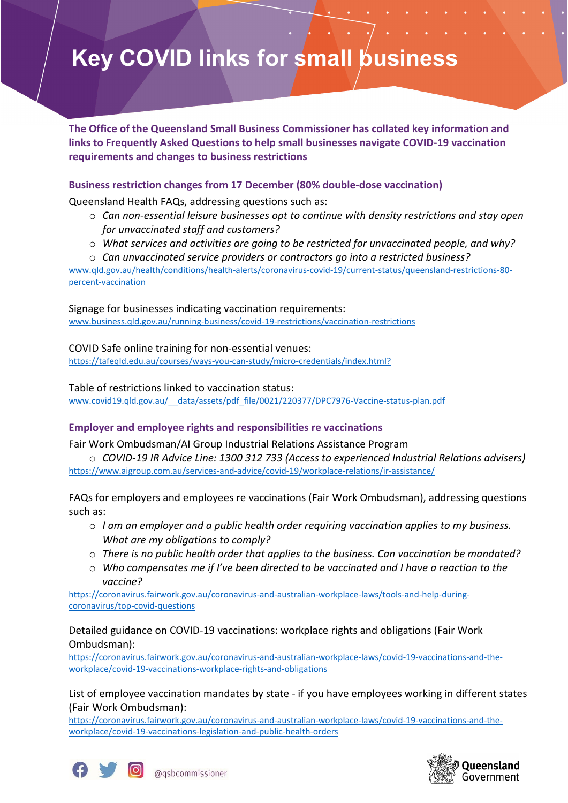# **Key COVID links for small business**

**The Office of the Queensland Small Business Commissioner has collated key information and links to Frequently Asked Questions to help small businesses navigate COVID-19 vaccination requirements and changes to business restrictions**

#### **Business restriction changes from 17 December (80% double-dose vaccination)**

Queensland Health FAQs, addressing questions such as:

- o *Can non-essential leisure businesses opt to continue with density restrictions and stay open for unvaccinated staff and customers?*
- o *What services and activities are going to be restricted for unvaccinated people, and why?*
- o *Can unvaccinated service providers or contractors go into a restricted business?*

[www.qld.gov.au/health/conditions/health-alerts/coronavirus-covid-19/current-status/queensland-restrictions-80](http://www.qld.gov.au/health/conditions/health-alerts/coronavirus-covid-19/current-status/queensland-restrictions-80-percent-vaccination) [percent-vaccination](http://www.qld.gov.au/health/conditions/health-alerts/coronavirus-covid-19/current-status/queensland-restrictions-80-percent-vaccination)

Signage for businesses indicating vaccination requirements:

[www.business.qld.gov.au/running-business/covid-19-restrictions/vaccination-restrictions](https://www.business.qld.gov.au/running-business/covid-19-restrictions/vaccination-restrictions)

COVID Safe online training for non-essential venues: <https://tafeqld.edu.au/courses/ways-you-can-study/micro-credentials/index.html?>

Table of restrictions linked to vaccination status:

[www.covid19.qld.gov.au/\\_\\_data/assets/pdf\\_file/0021/220377/DPC7976-Vaccine-status-plan.pdf](http://www.covid19.qld.gov.au/__data/assets/pdf_file/0021/220377/DPC7976-Vaccine-status-plan.pdf)

## **Employer and employee rights and responsibilities re vaccinations**

Fair Work Ombudsman/AI Group Industrial Relations Assistance Program

o *COVID-19 IR Advice Line: 1300 312 733 (Access to experienced Industrial Relations advisers)* <https://www.aigroup.com.au/services-and-advice/covid-19/workplace-relations/ir-assistance/>

FAQs for employers and employees re vaccinations (Fair Work Ombudsman), addressing questions such as:

- o *I am an employer and a public health order requiring vaccination applies to my business. What are my obligations to comply?*
- o *There is no public health order that applies to the business. Can vaccination be mandated?*
- o *Who compensates me if I've been directed to be vaccinated and I have a reaction to the vaccine?*

[https://coronavirus.fairwork.gov.au/coronavirus-and-australian-workplace-laws/tools-and-help-during](https://coronavirus.fairwork.gov.au/coronavirus-and-australian-workplace-laws/tools-and-help-during-coronavirus/top-covid-questions)[coronavirus/top-covid-questions](https://coronavirus.fairwork.gov.au/coronavirus-and-australian-workplace-laws/tools-and-help-during-coronavirus/top-covid-questions)

Detailed guidance on COVID-19 vaccinations: workplace rights and obligations (Fair Work Ombudsman):

[https://coronavirus.fairwork.gov.au/coronavirus-and-australian-workplace-laws/covid-19-vaccinations-and-the](https://coronavirus.fairwork.gov.au/coronavirus-and-australian-workplace-laws/covid-19-vaccinations-and-the-workplace/covid-19-vaccinations-workplace-rights-and-obligations)[workplace/covid-19-vaccinations-workplace-rights-and-obligations](https://coronavirus.fairwork.gov.au/coronavirus-and-australian-workplace-laws/covid-19-vaccinations-and-the-workplace/covid-19-vaccinations-workplace-rights-and-obligations)

List of employee vaccination mandates by state - if you have employees working in different states (Fair Work Ombudsman):

[https://coronavirus.fairwork.gov.au/coronavirus-and-australian-workplace-laws/covid-19-vaccinations-and-the](https://coronavirus.fairwork.gov.au/coronavirus-and-australian-workplace-laws/covid-19-vaccinations-and-the-workplace/covid-19-vaccinations-legislation-and-public-health-orders)[workplace/covid-19-vaccinations-legislation-and-public-health-orders](https://coronavirus.fairwork.gov.au/coronavirus-and-australian-workplace-laws/covid-19-vaccinations-and-the-workplace/covid-19-vaccinations-legislation-and-public-health-orders)